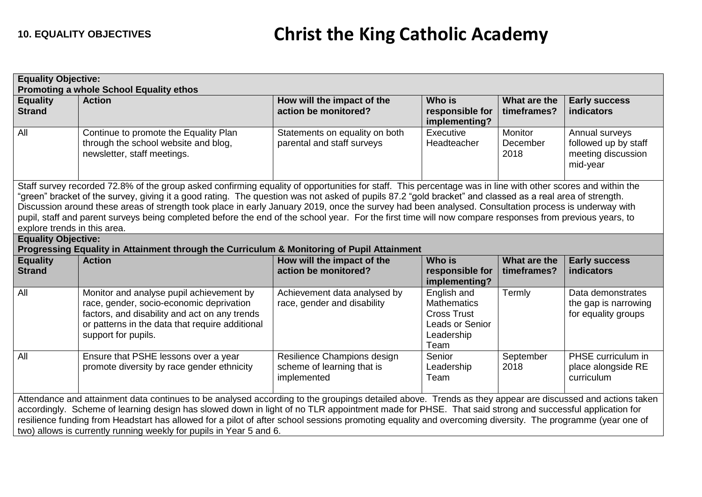| <b>Equality Objective:</b><br>Promoting a whole School Equality ethos                                                                                                                                                                                                                                                                                                                                                                                                                                                                                 |                                                                                                                                                                                                                                                                                                                                                                                                                                                                                                                                                                                                                                             |                                                                          |                                                                                                  |                                    |                                                                          |  |
|-------------------------------------------------------------------------------------------------------------------------------------------------------------------------------------------------------------------------------------------------------------------------------------------------------------------------------------------------------------------------------------------------------------------------------------------------------------------------------------------------------------------------------------------------------|---------------------------------------------------------------------------------------------------------------------------------------------------------------------------------------------------------------------------------------------------------------------------------------------------------------------------------------------------------------------------------------------------------------------------------------------------------------------------------------------------------------------------------------------------------------------------------------------------------------------------------------------|--------------------------------------------------------------------------|--------------------------------------------------------------------------------------------------|------------------------------------|--------------------------------------------------------------------------|--|
| <b>Equality</b><br><b>Strand</b>                                                                                                                                                                                                                                                                                                                                                                                                                                                                                                                      | <b>Action</b>                                                                                                                                                                                                                                                                                                                                                                                                                                                                                                                                                                                                                               | How will the impact of the<br>action be monitored?                       | <b>Who is</b><br>responsible for<br>implementing?                                                | What are the<br>timeframes?        | <b>Early success</b><br>indicators                                       |  |
| All                                                                                                                                                                                                                                                                                                                                                                                                                                                                                                                                                   | Continue to promote the Equality Plan<br>through the school website and blog,<br>newsletter, staff meetings.                                                                                                                                                                                                                                                                                                                                                                                                                                                                                                                                | Statements on equality on both<br>parental and staff surveys             | Executive<br>Headteacher                                                                         | <b>Monitor</b><br>December<br>2018 | Annual surveys<br>followed up by staff<br>meeting discussion<br>mid-year |  |
| explore trends in this area.                                                                                                                                                                                                                                                                                                                                                                                                                                                                                                                          | Staff survey recorded 72.8% of the group asked confirming equality of opportunities for staff. This percentage was in line with other scores and within the<br>"green" bracket of the survey, giving it a good rating. The question was not asked of pupils 87.2 "gold bracket" and classed as a real area of strength.<br>Discussion around these areas of strength took place in early January 2019, once the survey had been analysed. Consultation process is underway with<br>pupil, staff and parent surveys being completed before the end of the school year. For the first time will now compare responses from previous years, to |                                                                          |                                                                                                  |                                    |                                                                          |  |
| <b>Equality Objective:</b>                                                                                                                                                                                                                                                                                                                                                                                                                                                                                                                            | Progressing Equality in Attainment through the Curriculum & Monitoring of Pupil Attainment                                                                                                                                                                                                                                                                                                                                                                                                                                                                                                                                                  |                                                                          |                                                                                                  |                                    |                                                                          |  |
| <b>Equality</b><br><b>Strand</b>                                                                                                                                                                                                                                                                                                                                                                                                                                                                                                                      | <b>Action</b>                                                                                                                                                                                                                                                                                                                                                                                                                                                                                                                                                                                                                               | How will the impact of the<br>action be monitored?                       | <b>Who is</b><br>responsible for<br>implementing?                                                | What are the<br>timeframes?        | <b>Early success</b><br>indicators                                       |  |
| All                                                                                                                                                                                                                                                                                                                                                                                                                                                                                                                                                   | Monitor and analyse pupil achievement by<br>race, gender, socio-economic deprivation<br>factors, and disability and act on any trends<br>or patterns in the data that require additional<br>support for pupils.                                                                                                                                                                                                                                                                                                                                                                                                                             | Achievement data analysed by<br>race, gender and disability              | English and<br><b>Mathematics</b><br><b>Cross Trust</b><br>Leads or Senior<br>Leadership<br>Team | Termly                             | Data demonstrates<br>the gap is narrowing<br>for equality groups         |  |
| All                                                                                                                                                                                                                                                                                                                                                                                                                                                                                                                                                   | Ensure that PSHE lessons over a year<br>promote diversity by race gender ethnicity                                                                                                                                                                                                                                                                                                                                                                                                                                                                                                                                                          | Resilience Champions design<br>scheme of learning that is<br>implemented | Senior<br>Leadership<br>Team                                                                     | September<br>2018                  | PHSE curriculum in<br>place alongside RE<br>curriculum                   |  |
| Attendance and attainment data continues to be analysed according to the groupings detailed above. Trends as they appear are discussed and actions taken<br>accordingly. Scheme of learning design has slowed down in light of no TLR appointment made for PHSE. That said strong and successful application for<br>resilience funding from Headstart has allowed for a pilot of after school sessions promoting equality and overcoming diversity. The programme (year one of<br>two) allows is currently running weekly for pupils in Year 5 and 6. |                                                                                                                                                                                                                                                                                                                                                                                                                                                                                                                                                                                                                                             |                                                                          |                                                                                                  |                                    |                                                                          |  |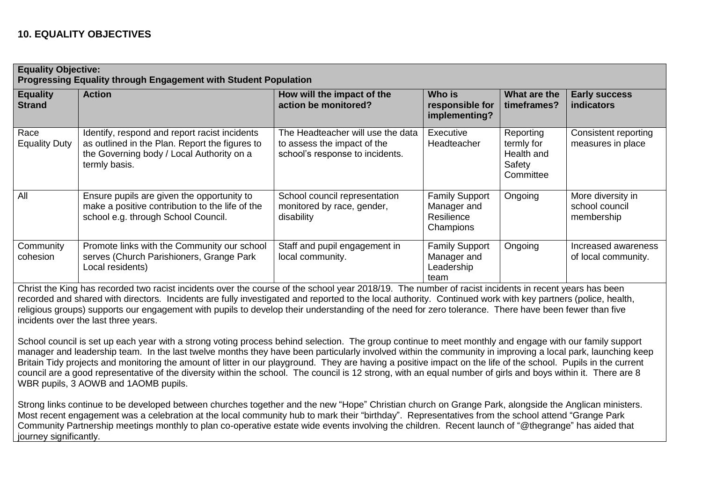| <b>Equality Objective:</b><br><b>Progressing Equality through Engagement with Student Population</b> |                                                                                                                                                               |                                                                                                     |                                                                 |                                                              |                                                   |  |
|------------------------------------------------------------------------------------------------------|---------------------------------------------------------------------------------------------------------------------------------------------------------------|-----------------------------------------------------------------------------------------------------|-----------------------------------------------------------------|--------------------------------------------------------------|---------------------------------------------------|--|
| <b>Equality</b><br><b>Strand</b>                                                                     | <b>Action</b>                                                                                                                                                 | How will the impact of the<br>action be monitored?                                                  | Who is<br>responsible for<br>implementing?                      | What are the<br>timeframes?                                  | <b>Early success</b><br><b>indicators</b>         |  |
| Race<br><b>Equality Duty</b>                                                                         | Identify, respond and report racist incidents<br>as outlined in the Plan. Report the figures to<br>the Governing body / Local Authority on a<br>termly basis. | The Headteacher will use the data<br>to assess the impact of the<br>school's response to incidents. | Executive<br><b>Headteacher</b>                                 | Reporting<br>termly for<br>Health and<br>Safety<br>Committee | Consistent reporting<br>measures in place         |  |
| All                                                                                                  | Ensure pupils are given the opportunity to<br>make a positive contribution to the life of the<br>school e.g. through School Council.                          | School council representation<br>monitored by race, gender,<br>disability                           | <b>Family Support</b><br>Manager and<br>Resilience<br>Champions | Ongoing                                                      | More diversity in<br>school council<br>membership |  |
| Community<br>cohesion                                                                                | Promote links with the Community our school<br>serves (Church Parishioners, Grange Park<br>Local residents)                                                   | Staff and pupil engagement in<br>local community.                                                   | <b>Family Support</b><br>Manager and<br>Leadership<br>team      | Ongoing                                                      | Increased awareness<br>of local community.        |  |

Christ the King has recorded two racist incidents over the course of the school year 2018/19. The number of racist incidents in recent years has been recorded and shared with directors. Incidents are fully investigated and reported to the local authority. Continued work with key partners (police, health, religious groups) supports our engagement with pupils to develop their understanding of the need for zero tolerance. There have been fewer than five incidents over the last three years.

School council is set up each year with a strong voting process behind selection. The group continue to meet monthly and engage with our family support manager and leadership team. In the last twelve months they have been particularly involved within the community in improving a local park, launching keep Britain Tidy projects and monitoring the amount of litter in our playground. They are having a positive impact on the life of the school. Pupils in the current council are a good representative of the diversity within the school. The council is 12 strong, with an equal number of girls and boys within it. There are 8 WBR pupils, 3 AOWB and 1AOMB pupils.

Strong links continue to be developed between churches together and the new "Hope" Christian church on Grange Park, alongside the Anglican ministers. Most recent engagement was a celebration at the local community hub to mark their "birthday". Representatives from the school attend "Grange Park Community Partnership meetings monthly to plan co-operative estate wide events involving the children. Recent launch of "@thegrange" has aided that journey significantly.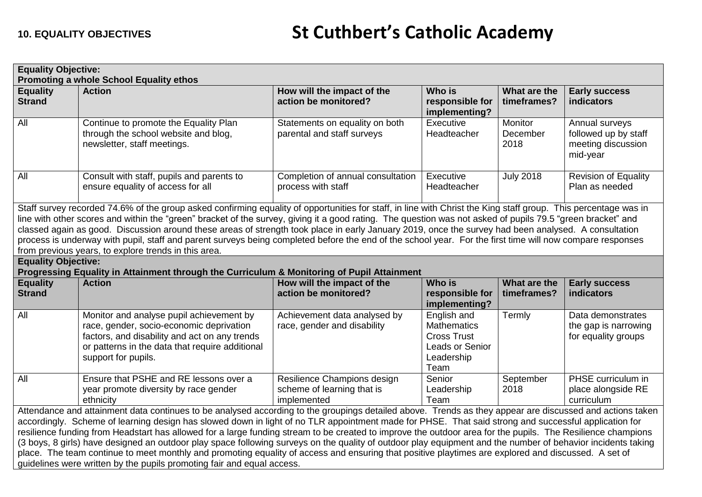| <b>Equality Objective:</b><br><b>Promoting a whole School Equality ethos</b>                                                                                                                                                                                                                                                                                                                                                                                                                                                                                                                                                                                                                                                                                                                                                                                                     |                                                                                                                                                                                                                 |                                                                          |                                                                                                  |                             |                                                                          |  |
|----------------------------------------------------------------------------------------------------------------------------------------------------------------------------------------------------------------------------------------------------------------------------------------------------------------------------------------------------------------------------------------------------------------------------------------------------------------------------------------------------------------------------------------------------------------------------------------------------------------------------------------------------------------------------------------------------------------------------------------------------------------------------------------------------------------------------------------------------------------------------------|-----------------------------------------------------------------------------------------------------------------------------------------------------------------------------------------------------------------|--------------------------------------------------------------------------|--------------------------------------------------------------------------------------------------|-----------------------------|--------------------------------------------------------------------------|--|
| <b>Equality</b><br><b>Strand</b>                                                                                                                                                                                                                                                                                                                                                                                                                                                                                                                                                                                                                                                                                                                                                                                                                                                 | <b>Action</b>                                                                                                                                                                                                   | How will the impact of the<br>action be monitored?                       | Who is<br>responsible for<br>implementing?                                                       | What are the<br>timeframes? | <b>Early success</b><br><b>indicators</b>                                |  |
| All                                                                                                                                                                                                                                                                                                                                                                                                                                                                                                                                                                                                                                                                                                                                                                                                                                                                              | Continue to promote the Equality Plan<br>through the school website and blog,<br>newsletter, staff meetings.                                                                                                    | Statements on equality on both<br>parental and staff surveys             | Executive<br>Headteacher                                                                         | Monitor<br>December<br>2018 | Annual surveys<br>followed up by staff<br>meeting discussion<br>mid-year |  |
| All                                                                                                                                                                                                                                                                                                                                                                                                                                                                                                                                                                                                                                                                                                                                                                                                                                                                              | Consult with staff, pupils and parents to<br>ensure equality of access for all                                                                                                                                  | Completion of annual consultation<br>process with staff                  | Executive<br>Headteacher                                                                         | <b>July 2018</b>            | Revision of Equality<br>Plan as needed                                   |  |
| Staff survey recorded 74.6% of the group asked confirming equality of opportunities for staff, in line with Christ the King staff group. This percentage was in<br>line with other scores and within the "green" bracket of the survey, giving it a good rating. The question was not asked of pupils 79.5 "green bracket" and<br>classed again as good. Discussion around these areas of strength took place in early January 2019, once the survey had been analysed. A consultation<br>process is underway with pupil, staff and parent surveys being completed before the end of the school year. For the first time will now compare responses<br>from previous years, to explore trends in this area.                                                                                                                                                                      |                                                                                                                                                                                                                 |                                                                          |                                                                                                  |                             |                                                                          |  |
| <b>Equality Objective:</b>                                                                                                                                                                                                                                                                                                                                                                                                                                                                                                                                                                                                                                                                                                                                                                                                                                                       | Progressing Equality in Attainment through the Curriculum & Monitoring of Pupil Attainment                                                                                                                      |                                                                          |                                                                                                  |                             |                                                                          |  |
| <b>Equality</b><br><b>Strand</b>                                                                                                                                                                                                                                                                                                                                                                                                                                                                                                                                                                                                                                                                                                                                                                                                                                                 | <b>Action</b>                                                                                                                                                                                                   | How will the impact of the<br>action be monitored?                       | Who is<br>responsible for<br>implementing?                                                       | What are the<br>timeframes? | <b>Early success</b><br>indicators                                       |  |
| All                                                                                                                                                                                                                                                                                                                                                                                                                                                                                                                                                                                                                                                                                                                                                                                                                                                                              | Monitor and analyse pupil achievement by<br>race, gender, socio-economic deprivation<br>factors, and disability and act on any trends<br>or patterns in the data that require additional<br>support for pupils. | Achievement data analysed by<br>race, gender and disability              | English and<br><b>Mathematics</b><br><b>Cross Trust</b><br>Leads or Senior<br>Leadership<br>Team | Termly                      | Data demonstrates<br>the gap is narrowing<br>for equality groups         |  |
| All                                                                                                                                                                                                                                                                                                                                                                                                                                                                                                                                                                                                                                                                                                                                                                                                                                                                              | Ensure that PSHE and RE lessons over a<br>year promote diversity by race gender<br>ethnicity                                                                                                                    | Resilience Champions design<br>scheme of learning that is<br>implemented | Senior<br>Leadership<br>Team                                                                     | September<br>2018           | PHSE curriculum in<br>place alongside RE<br>curriculum                   |  |
| Attendance and attainment data continues to be analysed according to the groupings detailed above. Trends as they appear are discussed and actions taken<br>accordingly. Scheme of learning design has slowed down in light of no TLR appointment made for PHSE. That said strong and successful application for<br>resilience funding from Headstart has allowed for a large funding stream to be created to improve the outdoor area for the pupils. The Resilience champions<br>(3 boys, 8 girls) have designed an outdoor play space following surveys on the quality of outdoor play equipment and the number of behavior incidents taking<br>place. The team continue to meet monthly and promoting equality of access and ensuring that positive playtimes are explored and discussed. A set of<br>guidelines were written by the pupils promoting fair and equal access. |                                                                                                                                                                                                                 |                                                                          |                                                                                                  |                             |                                                                          |  |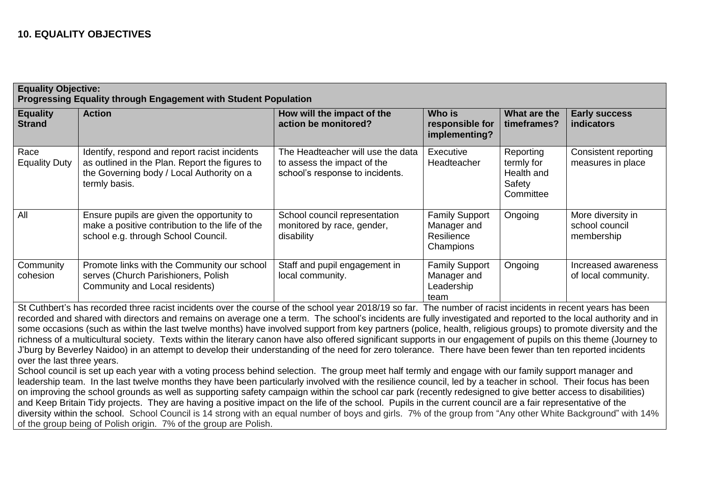## **10. EQUALITY OBJECTIVES**

| <b>Equality Objective:</b><br>Progressing Equality through Engagement with Student Population                                                                                                                                                                                                                                                                                                                                                                                                                                                                                                                                                                                                                                                                                                                                                                                                                                                                                                                                                                                                                                                                                                                                                                                                                                                                                                                                                                                                                                                                                                                                                                                                                                                               |                                                                                                                                                               |                                                                                                     |                                                                 |                                                              |                                                   |  |
|-------------------------------------------------------------------------------------------------------------------------------------------------------------------------------------------------------------------------------------------------------------------------------------------------------------------------------------------------------------------------------------------------------------------------------------------------------------------------------------------------------------------------------------------------------------------------------------------------------------------------------------------------------------------------------------------------------------------------------------------------------------------------------------------------------------------------------------------------------------------------------------------------------------------------------------------------------------------------------------------------------------------------------------------------------------------------------------------------------------------------------------------------------------------------------------------------------------------------------------------------------------------------------------------------------------------------------------------------------------------------------------------------------------------------------------------------------------------------------------------------------------------------------------------------------------------------------------------------------------------------------------------------------------------------------------------------------------------------------------------------------------|---------------------------------------------------------------------------------------------------------------------------------------------------------------|-----------------------------------------------------------------------------------------------------|-----------------------------------------------------------------|--------------------------------------------------------------|---------------------------------------------------|--|
| <b>Equality</b><br><b>Strand</b>                                                                                                                                                                                                                                                                                                                                                                                                                                                                                                                                                                                                                                                                                                                                                                                                                                                                                                                                                                                                                                                                                                                                                                                                                                                                                                                                                                                                                                                                                                                                                                                                                                                                                                                            | <b>Action</b>                                                                                                                                                 | How will the impact of the<br>action be monitored?                                                  | Who is<br>responsible for<br>implementing?                      | What are the<br>timeframes?                                  | <b>Early success</b><br>indicators                |  |
| Race<br><b>Equality Duty</b>                                                                                                                                                                                                                                                                                                                                                                                                                                                                                                                                                                                                                                                                                                                                                                                                                                                                                                                                                                                                                                                                                                                                                                                                                                                                                                                                                                                                                                                                                                                                                                                                                                                                                                                                | Identify, respond and report racist incidents<br>as outlined in the Plan. Report the figures to<br>the Governing body / Local Authority on a<br>termly basis. | The Headteacher will use the data<br>to assess the impact of the<br>school's response to incidents. | Executive<br>Headteacher                                        | Reporting<br>termly for<br>Health and<br>Safety<br>Committee | <b>Consistent reporting</b><br>measures in place  |  |
| All                                                                                                                                                                                                                                                                                                                                                                                                                                                                                                                                                                                                                                                                                                                                                                                                                                                                                                                                                                                                                                                                                                                                                                                                                                                                                                                                                                                                                                                                                                                                                                                                                                                                                                                                                         | Ensure pupils are given the opportunity to<br>make a positive contribution to the life of the<br>school e.g. through School Council.                          | School council representation<br>monitored by race, gender,<br>disability                           | <b>Family Support</b><br>Manager and<br>Resilience<br>Champions | Ongoing                                                      | More diversity in<br>school council<br>membership |  |
| Community<br>cohesion                                                                                                                                                                                                                                                                                                                                                                                                                                                                                                                                                                                                                                                                                                                                                                                                                                                                                                                                                                                                                                                                                                                                                                                                                                                                                                                                                                                                                                                                                                                                                                                                                                                                                                                                       | Promote links with the Community our school<br>serves (Church Parishioners, Polish<br>Community and Local residents)                                          | Staff and pupil engagement in<br>local community.                                                   | <b>Family Support</b><br>Manager and<br>Leadership<br>team      | Ongoing                                                      | Increased awareness<br>of local community.        |  |
| St Cuthbert's has recorded three racist incidents over the course of the school year 2018/19 so far. The number of racist incidents in recent years has been<br>recorded and shared with directors and remains on average one a term. The school's incidents are fully investigated and reported to the local authority and in<br>some occasions (such as within the last twelve months) have involved support from key partners (police, health, religious groups) to promote diversity and the<br>richness of a multicultural society. Texts within the literary canon have also offered significant supports in our engagement of pupils on this theme (Journey to<br>J'burg by Beverley Naidoo) in an attempt to develop their understanding of the need for zero tolerance. There have been fewer than ten reported incidents<br>over the last three years.<br>School council is set up each year with a voting process behind selection. The group meet half termly and engage with our family support manager and<br>leadership team. In the last twelve months they have been particularly involved with the resilience council, led by a teacher in school. Their focus has been<br>on improving the school grounds as well as supporting safety campaign within the school car park (recently redesigned to give better access to disabilities)<br>and Keep Britain Tidy projects. They are having a positive impact on the life of the school. Pupils in the current council are a fair representative of the<br>diversity within the school. School Council is 14 strong with an equal number of boys and girls. 7% of the group from "Any other White Background" with 14%<br>of the group being of Polish origin. 7% of the group are Polish. |                                                                                                                                                               |                                                                                                     |                                                                 |                                                              |                                                   |  |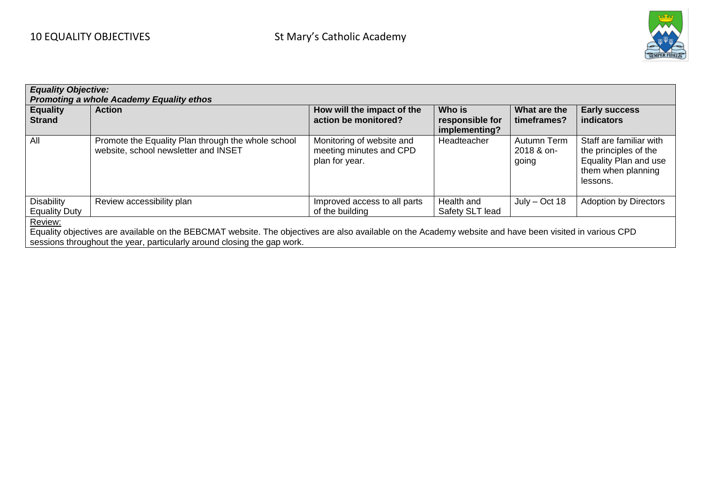

| <b>Equality Objective:</b><br>Promoting a whole Academy Equality ethos                                                                                  |                                                                                            |                                                                        |                                            |                                    |                                                                                                             |  |  |
|---------------------------------------------------------------------------------------------------------------------------------------------------------|--------------------------------------------------------------------------------------------|------------------------------------------------------------------------|--------------------------------------------|------------------------------------|-------------------------------------------------------------------------------------------------------------|--|--|
| <b>Equality</b><br><b>Strand</b>                                                                                                                        | <b>Action</b>                                                                              | How will the impact of the<br>action be monitored?                     | Who is<br>responsible for<br>implementing? | What are the<br>timeframes?        | <b>Early success</b><br>indicators                                                                          |  |  |
| All                                                                                                                                                     | Promote the Equality Plan through the whole school<br>website, school newsletter and INSET | Monitoring of website and<br>meeting minutes and CPD<br>plan for year. | Headteacher                                | Autumn Term<br>2018 & on-<br>going | Staff are familiar with<br>the principles of the<br>Equality Plan and use<br>them when planning<br>lessons. |  |  |
| <b>Disability</b><br><b>Equality Duty</b>                                                                                                               | Review accessibility plan                                                                  | Improved access to all parts<br>of the building                        | Health and<br>Safety SLT lead              | $July - Oct 18$                    | <b>Adoption by Directors</b>                                                                                |  |  |
| Review:                                                                                                                                                 |                                                                                            |                                                                        |                                            |                                    |                                                                                                             |  |  |
| Equality objectives are available on the BEBCMAT website. The objectives are also available on the Academy website and have been visited in various CPD |                                                                                            |                                                                        |                                            |                                    |                                                                                                             |  |  |
| sessions throughout the year, particularly around closing the gap work.                                                                                 |                                                                                            |                                                                        |                                            |                                    |                                                                                                             |  |  |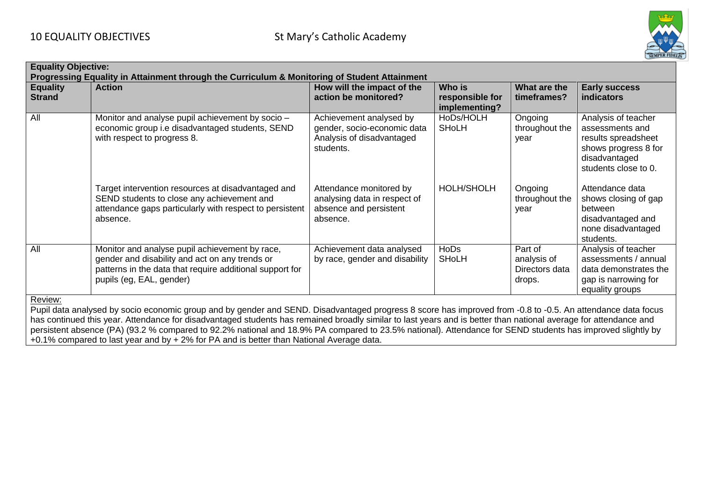

| <b>Equality Objective:</b><br>Progressing Equality in Attainment through the Curriculum & Monitoring of Student Attainment                                                                                                                                                                                                                                                                                                                                                                                                                                                                           |                                                                                                                                                                                          |                                                                                                  |                                            |                                                    |                                                                                                                                |  |
|------------------------------------------------------------------------------------------------------------------------------------------------------------------------------------------------------------------------------------------------------------------------------------------------------------------------------------------------------------------------------------------------------------------------------------------------------------------------------------------------------------------------------------------------------------------------------------------------------|------------------------------------------------------------------------------------------------------------------------------------------------------------------------------------------|--------------------------------------------------------------------------------------------------|--------------------------------------------|----------------------------------------------------|--------------------------------------------------------------------------------------------------------------------------------|--|
| <b>Equality</b><br><b>Strand</b>                                                                                                                                                                                                                                                                                                                                                                                                                                                                                                                                                                     | <b>Action</b>                                                                                                                                                                            | How will the impact of the<br>action be monitored?                                               | Who is<br>responsible for<br>implementing? | What are the<br>timeframes?                        | <b>Early success</b><br><b>indicators</b>                                                                                      |  |
| All                                                                                                                                                                                                                                                                                                                                                                                                                                                                                                                                                                                                  | Monitor and analyse pupil achievement by socio -<br>economic group i.e disadvantaged students, SEND<br>with respect to progress 8.                                                       | Achievement analysed by<br>gender, socio-economic data<br>Analysis of disadvantaged<br>students. | HoDs/HOLH<br>SHoLH                         | Ongoing<br>throughout the<br>year                  | Analysis of teacher<br>assessments and<br>results spreadsheet<br>shows progress 8 for<br>disadvantaged<br>students close to 0. |  |
|                                                                                                                                                                                                                                                                                                                                                                                                                                                                                                                                                                                                      | Target intervention resources at disadvantaged and<br>SEND students to close any achievement and<br>attendance gaps particularly with respect to persistent<br>absence.                  | Attendance monitored by<br>analysing data in respect of<br>absence and persistent<br>absence.    | HOLH/SHOLH                                 | Ongoing<br>throughout the<br>year                  | Attendance data<br>shows closing of gap<br>between<br>disadvantaged and<br>none disadvantaged<br>students.                     |  |
| All                                                                                                                                                                                                                                                                                                                                                                                                                                                                                                                                                                                                  | Monitor and analyse pupil achievement by race,<br>gender and disability and act on any trends or<br>patterns in the data that require additional support for<br>pupils (eg, EAL, gender) | Achievement data analysed<br>by race, gender and disability                                      | <b>HoDs</b><br><b>SHoLH</b>                | Part of<br>analysis of<br>Directors data<br>drops. | Analysis of teacher<br>assessments / annual<br>data demonstrates the<br>gap is narrowing for<br>equality groups                |  |
| Review:<br>Pupil data analysed by socio economic group and by gender and SEND. Disadvantaged progress 8 score has improved from -0.8 to -0.5. An attendance data focus<br>has continued this year. Attendance for disadvantaged students has remained broadly similar to last years and is better than national average for attendance and<br>persistent absence (PA) (93.2 % compared to 92.2% national and 18.9% PA compared to 23.5% national). Attendance for SEND students has improved slightly by<br>+0.1% compared to last year and by + 2% for PA and is better than National Average data. |                                                                                                                                                                                          |                                                                                                  |                                            |                                                    |                                                                                                                                |  |